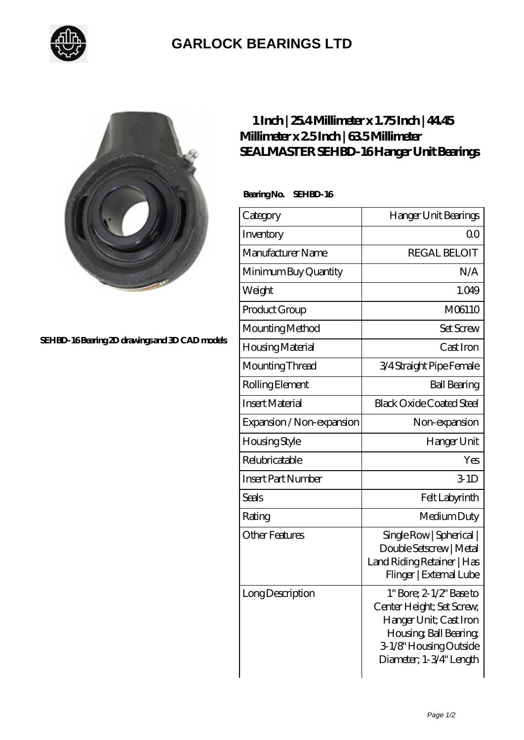

## **[GARLOCK BEARINGS LTD](https://m.letterstopriests.com)**



**[SEHBD-16 Bearing 2D drawings and 3D CAD models](https://m.letterstopriests.com/pic-189054.html)**

## **[1 Inch | 25.4 Millimeter x 1.75 Inch | 44.45](https://m.letterstopriests.com/be-189054-sealmaster-sehbd-16-hanger-unit-bearings.html) [Millimeter x 2.5 Inch | 63.5 Millimeter](https://m.letterstopriests.com/be-189054-sealmaster-sehbd-16-hanger-unit-bearings.html) [SEALMASTER SEHBD-16 Hanger Unit Bearings](https://m.letterstopriests.com/be-189054-sealmaster-sehbd-16-hanger-unit-bearings.html)**

 **Bearing No. SEHBD-16**

| Category                  | Hanger Unit Bearings                                                                                                                                                     |
|---------------------------|--------------------------------------------------------------------------------------------------------------------------------------------------------------------------|
| Inventory                 | QO                                                                                                                                                                       |
| Manufacturer Name         | <b>REGAL BELOIT</b>                                                                                                                                                      |
| Minimum Buy Quantity      | N/A                                                                                                                                                                      |
| Weight                    | 1.049                                                                                                                                                                    |
| Product Group             | M06110                                                                                                                                                                   |
| Mounting Method           | <b>Set Screw</b>                                                                                                                                                         |
| Housing Material          | Cast Iron                                                                                                                                                                |
| Mounting Thread           | 3/4 Straight Pipe Female                                                                                                                                                 |
| Rolling Element           | <b>Ball Bearing</b>                                                                                                                                                      |
| <b>Insert Material</b>    | <b>Black Oxide Coated Steel</b>                                                                                                                                          |
| Expansion / Non-expansion | Non-expansion                                                                                                                                                            |
| Housing Style             | Hanger Unit                                                                                                                                                              |
| Relubricatable            | Yes                                                                                                                                                                      |
| <b>Insert Part Number</b> | 34D                                                                                                                                                                      |
| <b>Seals</b>              | Felt Labyrinth                                                                                                                                                           |
| Rating                    | Medium Duty                                                                                                                                                              |
| <b>Other Features</b>     | Single Row   Spherical  <br>Double Setscrew   Metal<br>Land Riding Retainer   Has<br>Flinger   External Lube                                                             |
| Long Description          | $1"$ Bore; $2 \frac{1}{2}$ Base to<br>Center Height; Set Screw,<br>Hanger Unit; Cast Iron<br>Housing, Ball Bearing,<br>3-1/8" Housing Outside<br>Diameter; 1-3/4" Length |